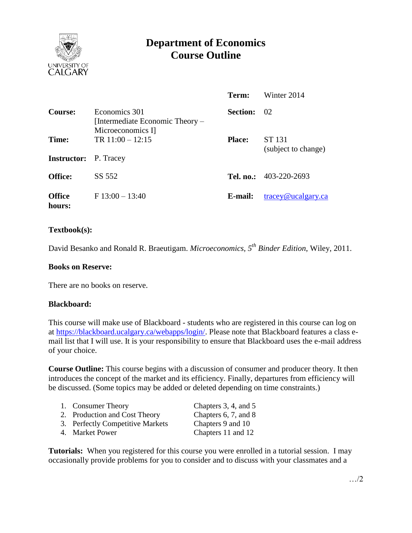

# **Department of Economics Course Outline**

|                                       |                                                                       | Term:           | Winter 2014                   |
|---------------------------------------|-----------------------------------------------------------------------|-----------------|-------------------------------|
| Course:                               | Economics 301<br>[Intermediate Economic Theory –<br>Microeconomics I] | <b>Section:</b> | 02                            |
| Time:<br><b>Instructor:</b> P. Tracey | TR $11:00 - 12:15$                                                    | <b>Place:</b>   | ST 131<br>(subject to change) |
| <b>Office:</b>                        | SS 552                                                                |                 | Tel. no.: $403-220-2693$      |
| <b>Office</b><br>hours:               | $F13:00 - 13:40$                                                      | E-mail:         | tracey@ucalgary.ca            |

## **Textbook(s):**

David Besanko and Ronald R. Braeutigam. *Microeconomics, 5 th Binder Edition*, Wiley, 2011.

#### **Books on Reserve:**

There are no books on reserve.

#### **Blackboard:**

This course will make use of Blackboard - students who are registered in this course can log on at [https://blackboard.ucalgary.ca/webapps/login/.](https://blackboard.ucalgary.ca/webapps/login/) Please note that Blackboard features a class email list that I will use. It is your responsibility to ensure that Blackboard uses the e-mail address of your choice.

**Course Outline:** This course begins with a discussion of consumer and producer theory. It then introduces the concept of the market and its efficiency. Finally, departures from efficiency will be discussed. (Some topics may be added or deleted depending on time constraints.)

| 1. Consumer Theory               | Chapters 3, 4, and 5      |
|----------------------------------|---------------------------|
| 2. Production and Cost Theory    | Chapters $6, 7$ , and $8$ |
| 3. Perfectly Competitive Markets | Chapters 9 and 10         |
| 4. Market Power                  | Chapters 11 and 12        |

**Tutorials:** When you registered for this course you were enrolled in a tutorial session. I may occasionally provide problems for you to consider and to discuss with your classmates and a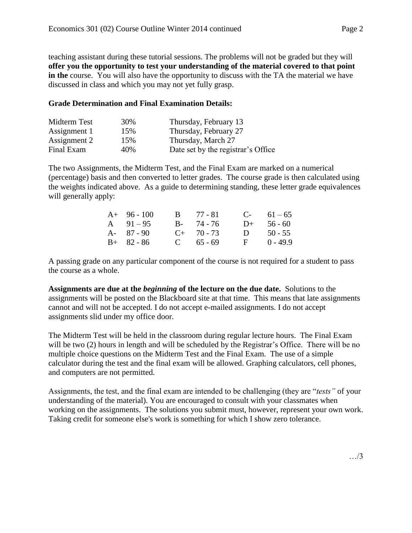teaching assistant during these tutorial sessions. The problems will not be graded but they will **offer you the opportunity to test your understanding of the material covered to that point**  in the course. You will also have the opportunity to discuss with the TA the material we have discussed in class and which you may not yet fully grasp.

## **Grade Determination and Final Examination Details:**

| Midterm Test | 30% | Thursday, February 13              |
|--------------|-----|------------------------------------|
| Assignment 1 | 15% | Thursday, February 27              |
| Assignment 2 | 15% | Thursday, March 27                 |
| Final Exam   | 40% | Date set by the registrar's Office |

The two Assignments, the Midterm Test, and the Final Exam are marked on a numerical (percentage) basis and then converted to letter grades. The course grade is then calculated using the weights indicated above. As a guide to determining standing, these letter grade equivalences will generally apply:

| $A+ 96-100$   | $B = 77 - 81$   |              | $C-61-65$  |
|---------------|-----------------|--------------|------------|
| A $91-95$     | $B - 74 - 76$   | $D+$         | 56 - 60    |
| $A - 87 - 90$ | $C_{+}$ 70 - 73 | $\mathbf{D}$ | $50 - 55$  |
| $B+ 82 - 86$  | $C = 65 - 69$   | $\mathbf{F}$ | $0 - 49.9$ |

A passing grade on any particular component of the course is not required for a student to pass the course as a whole.

**Assignments are due at the** *beginning* **of the lecture on the due date.** Solutions to the assignments will be posted on the Blackboard site at that time. This means that late assignments cannot and will not be accepted. I do not accept e-mailed assignments. I do not accept assignments slid under my office door.

The Midterm Test will be held in the classroom during regular lecture hours. The Final Exam will be two (2) hours in length and will be scheduled by the Registrar's Office. There will be no multiple choice questions on the Midterm Test and the Final Exam. The use of a simple calculator during the test and the final exam will be allowed. Graphing calculators, cell phones, and computers are not permitted.

Assignments, the test, and the final exam are intended to be challenging (they are "*tests"* of your understanding of the material). You are encouraged to consult with your classmates when working on the assignments. The solutions you submit must, however, represent your own work. Taking credit for someone else's work is something for which I show zero tolerance.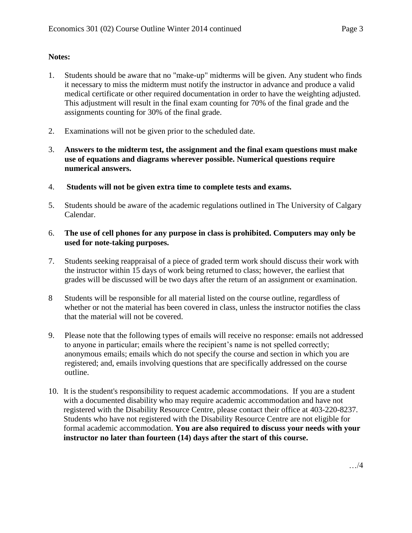## **Notes:**

- 1. Students should be aware that no "make-up" midterms will be given. Any student who finds it necessary to miss the midterm must notify the instructor in advance and produce a valid medical certificate or other required documentation in order to have the weighting adjusted. This adjustment will result in the final exam counting for 70% of the final grade and the assignments counting for 30% of the final grade.
- 2. Examinations will not be given prior to the scheduled date.
- 3. **Answers to the midterm test, the assignment and the final exam questions must make use of equations and diagrams wherever possible. Numerical questions require numerical answers.**
- 4. **Students will not be given extra time to complete tests and exams.**
- 5. Students should be aware of the academic regulations outlined in The University of Calgary Calendar.
- 6. **The use of cell phones for any purpose in class is prohibited. Computers may only be used for note-taking purposes.**
- 7. Students seeking reappraisal of a piece of graded term work should discuss their work with the instructor within 15 days of work being returned to class; however, the earliest that grades will be discussed will be two days after the return of an assignment or examination.
- 8 Students will be responsible for all material listed on the course outline, regardless of whether or not the material has been covered in class, unless the instructor notifies the class that the material will not be covered.
- 9. Please note that the following types of emails will receive no response: emails not addressed to anyone in particular; emails where the recipient's name is not spelled correctly; anonymous emails; emails which do not specify the course and section in which you are registered; and, emails involving questions that are specifically addressed on the course outline.
- 10. It is the student's responsibility to request academic accommodations. If you are a student with a documented disability who may require academic accommodation and have not registered with the Disability Resource Centre, please contact their office at 403-220-8237. Students who have not registered with the Disability Resource Centre are not eligible for formal academic accommodation. **You are also required to discuss your needs with your instructor no later than fourteen (14) days after the start of this course.**